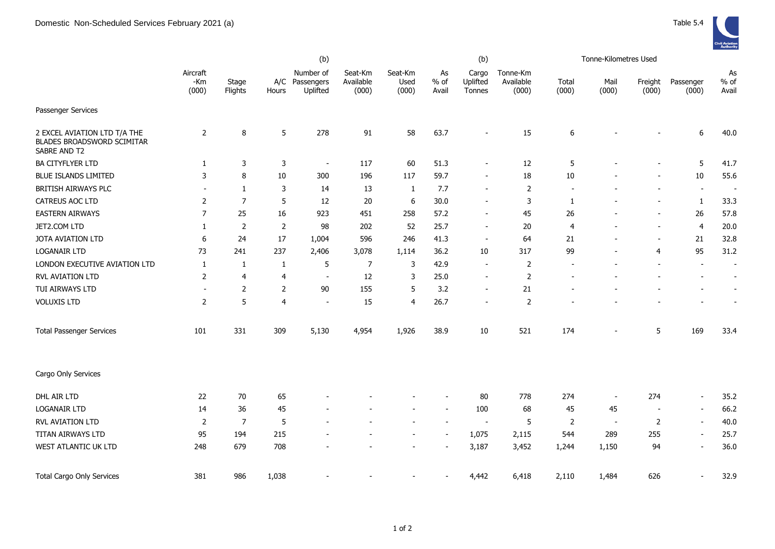

|                                                                            | (b)                      |                  |                 |                                         |                               |                          |                       | (b)                         |                                |                | Tonne-Kilometres Used    |                          |                          |                          |
|----------------------------------------------------------------------------|--------------------------|------------------|-----------------|-----------------------------------------|-------------------------------|--------------------------|-----------------------|-----------------------------|--------------------------------|----------------|--------------------------|--------------------------|--------------------------|--------------------------|
|                                                                            | Aircraft<br>-Km<br>(000) | Stage<br>Flights | Hours           | Number of<br>A/C Passengers<br>Uplifted | Seat-Km<br>Available<br>(000) | Seat-Km<br>Used<br>(000) | As<br>$%$ of<br>Avail | Cargo<br>Uplifted<br>Tonnes | Tonne-Km<br>Available<br>(000) | Total<br>(000) | Mail<br>(000)            | Freight<br>(000)         | Passenger<br>(000)       | As<br>$%$ of<br>Avail    |
| Passenger Services                                                         |                          |                  |                 |                                         |                               |                          |                       |                             |                                |                |                          |                          |                          |                          |
| 2 EXCEL AVIATION LTD T/A THE<br>BLADES BROADSWORD SCIMITAR<br>SABRE AND T2 | 2                        | 8                | $5\phantom{.0}$ | 278                                     | 91                            | 58                       | 63.7                  |                             | 15                             | 6              |                          |                          | 6                        | 40.0                     |
| BA CITYFLYER LTD                                                           | 1                        | 3                | 3               | $\overline{\phantom{a}}$                | 117                           | 60                       | 51.3                  | $\blacksquare$              | 12                             | 5              |                          |                          | 5                        | 41.7                     |
| BLUE ISLANDS LIMITED                                                       | 3                        | 8                | 10              | 300                                     | 196                           | 117                      | 59.7                  | $\overline{\phantom{a}}$    | 18                             | $10\,$         |                          |                          | 10                       | 55.6                     |
| BRITISH AIRWAYS PLC                                                        | $\overline{\phantom{a}}$ | $\mathbf{1}$     | 3               | 14                                      | 13                            | $\mathbf{1}$             | 7.7                   | $\overline{a}$              | $\overline{2}$                 |                |                          | $\overline{a}$           | $\overline{\phantom{a}}$ | $\overline{\phantom{a}}$ |
| CATREUS AOC LTD                                                            | $\overline{2}$           | $\overline{7}$   | 5               | 12                                      | 20                            | 6                        | 30.0                  | $\overline{\phantom{a}}$    | 3                              | -1             |                          |                          | 1                        | 33.3                     |
| <b>EASTERN AIRWAYS</b>                                                     | 7                        | 25               | 16              | 923                                     | 451                           | 258                      | 57.2                  | $\overline{\phantom{a}}$    | 45                             | 26             |                          |                          | 26                       | 57.8                     |
| JET2.COM LTD                                                               | 1                        | $\overline{2}$   | $\overline{2}$  | 98                                      | 202                           | 52                       | 25.7                  | $\overline{\phantom{a}}$    | 20                             | $\overline{4}$ |                          | $\overline{\phantom{a}}$ | $\overline{4}$           | 20.0                     |
| JOTA AVIATION LTD                                                          | 6                        | 24               | 17              | 1,004                                   | 596                           | 246                      | 41.3                  | $\overline{\phantom{a}}$    | 64                             | 21             |                          | $\overline{\phantom{a}}$ | 21                       | 32.8                     |
| <b>LOGANAIR LTD</b>                                                        | 73                       | 241              | 237             | 2,406                                   | 3,078                         | 1,114                    | 36.2                  | 10                          | 317                            | 99             |                          | $\overline{4}$           | 95                       | 31.2                     |
| LONDON EXECUTIVE AVIATION LTD                                              | 1                        | 1                | 1               | 5                                       | $\overline{7}$                | 3                        | 42.9                  | $\overline{\phantom{a}}$    | $\overline{2}$                 |                |                          |                          | $\overline{\phantom{a}}$ | $\overline{\phantom{a}}$ |
| <b>RVL AVIATION LTD</b>                                                    | 2                        | $\overline{4}$   | 4               | $\overline{\phantom{a}}$                | 12                            | 3                        | 25.0                  | $\overline{\phantom{a}}$    | $\overline{2}$                 |                |                          |                          |                          | $\sim$                   |
| TUI AIRWAYS LTD                                                            | $\sim$                   | $\overline{2}$   | $\overline{2}$  | 90                                      | 155                           | 5                        | 3.2                   | $\overline{\phantom{a}}$    | 21                             |                |                          |                          |                          |                          |
| <b>VOLUXIS LTD</b>                                                         | 2                        | 5                | $\overline{4}$  | $\overline{\phantom{a}}$                | 15                            | 4                        | 26.7                  | $\overline{\phantom{a}}$    | $\overline{2}$                 |                |                          |                          |                          |                          |
| <b>Total Passenger Services</b>                                            | 101                      | 331              | 309             | 5,130                                   | 4,954                         | 1,926                    | 38.9                  | 10                          | 521                            | 174            |                          | 5                        | 169                      | 33.4                     |
| Cargo Only Services                                                        |                          |                  |                 |                                         |                               |                          |                       |                             |                                |                |                          |                          |                          |                          |
| DHL AIR LTD                                                                | 22                       | $70\,$           | 65              |                                         |                               |                          |                       | 80                          | 778                            | 274            | $\overline{\phantom{a}}$ | 274                      | $\overline{\phantom{a}}$ | 35.2                     |
| <b>LOGANAIR LTD</b>                                                        | 14                       | 36               | 45              |                                         |                               |                          |                       | 100                         | 68                             | 45             | 45                       | $\overline{\phantom{a}}$ | $\blacksquare$           | 66.2                     |
| <b>RVL AVIATION LTD</b>                                                    | 2                        | $\overline{7}$   | 5               |                                         |                               |                          |                       | $\overline{\phantom{a}}$    | 5                              | 2              | $\overline{\phantom{a}}$ | 2                        | $\overline{\phantom{a}}$ | 40.0                     |
| TITAN AIRWAYS LTD                                                          | 95                       | 194              | 215             |                                         |                               |                          |                       | 1,075                       | 2,115                          | 544            | 289                      | 255                      | $\sim$                   | 25.7                     |
| WEST ATLANTIC UK LTD                                                       | 248                      | 679              | 708             |                                         |                               |                          |                       | 3,187                       | 3,452                          | 1,244          | 1,150                    | 94                       | $\overline{\phantom{a}}$ | 36.0                     |
| <b>Total Cargo Only Services</b>                                           | 381                      | 986              | 1,038           |                                         |                               |                          |                       | 4,442                       | 6,418                          | 2,110          | 1,484                    | 626                      | $\overline{\phantom{a}}$ | 32.9                     |